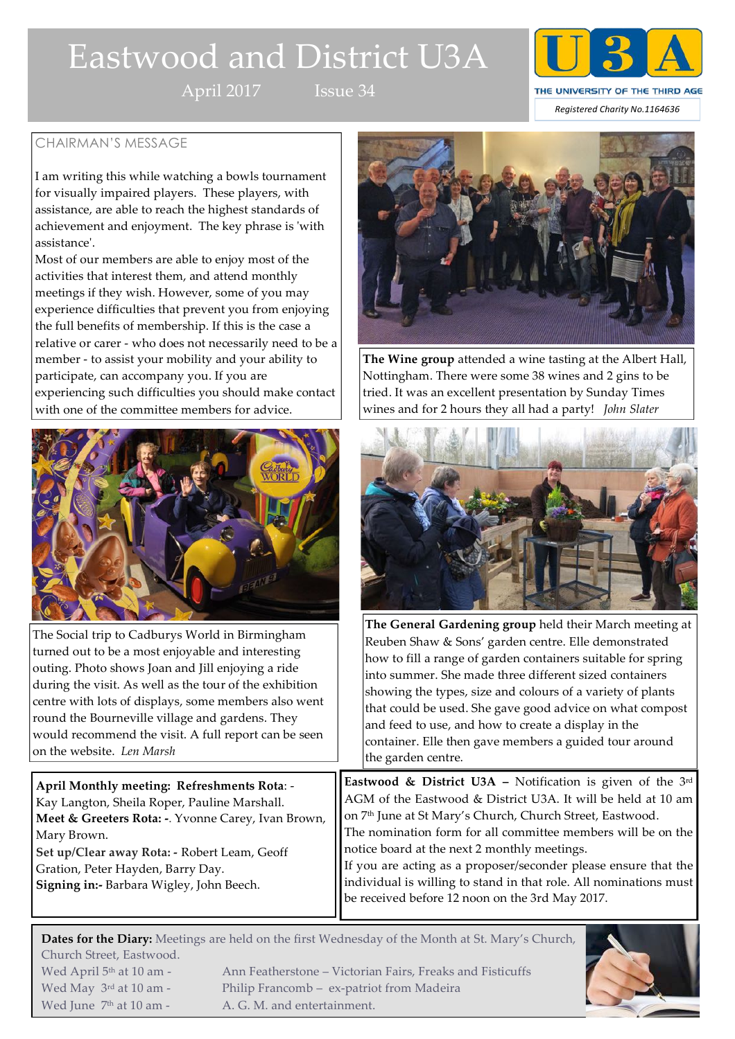# Eastwood and District U3A

April 2017 Issue 34



# CHAIRMAN'S MESSAGE

I am writing this while watching a bowls tournament for visually impaired players. These players, with assistance, are able to reach the highest standards of achievement and enjoyment. The key phrase is 'with assistance'.

Most of our members are able to enjoy most of the activities that interest them, and attend monthly meetings if they wish. However, some of you may experience difficulties that prevent you from enjoying the full benefits of membership. If this is the case a relative or carer - who does not necessarily need to be a member - to assist your mobility and your ability to participate, can accompany you. If you are experiencing such difficulties you should make contact with one of the committee members for advice.



The Social trip to Cadburys World in Birmingham turned out to be a most enjoyable and interesting outing. Photo shows Joan and Jill enjoying a ride during the visit. As well as the tour of the exhibition centre with lots of displays, some members also went round the Bourneville village and gardens. They would recommend the visit. A full report can be seen on the website. *Len Marsh*

**April Monthly meeting: Refreshments Rota**: - Kay Langton, Sheila Roper, Pauline Marshall. **Meet & Greeters Rota: -**. Yvonne Carey, Ivan Brown, Mary Brown. **Set up/Clear away Rota: -** Robert Leam, Geoff Gration, Peter Hayden, Barry Day. **Signing in:-** Barbara Wigley, John Beech.

Wed June  $7<sup>th</sup>$  at 10 am - A. G. M. and entertainment.



**The Wine group** attended a wine tasting at the Albert Hall, Nottingham. There were some 38 wines and 2 gins to be tried. It was an excellent presentation by Sunday Times wines and for 2 hours they all had a party! *John Slater*



**The General Gardening group** held their March meeting at Reuben Shaw & Sons' garden centre. Elle demonstrated how to fill a range of garden containers suitable for spring into summer. She made three different sized containers showing the types, size and colours of a variety of plants that could be used. She gave good advice on what compost and feed to use, and how to create a display in the container. Elle then gave members a guided tour around the garden centre.

**Eastwood & District U3A –** Notification is given of the 3rd AGM of the Eastwood & District U3A. It will be held at 10 am on 7<sup>th</sup> June at St Mary's Church, Church Street, Eastwood. The nomination form for all committee members will be on the notice board at the next 2 monthly meetings.

If you are acting as a proposer/seconder please ensure that the individual is willing to stand in that role. All nominations must be received before 12 noon on the 3rd May 2017.

**Dates for the Diary:** Meetings are held on the first Wednesday of the Month at St. Mary's Church, Church Street, Eastwood. Wed April 5<sup>th</sup> at 10 am - Ann Featherstone – Victorian Fairs, Freaks and Fisticuffs Wed May 3<sup>rd</sup> at 10 am - Philip Francomb – ex-patriot from Madeira